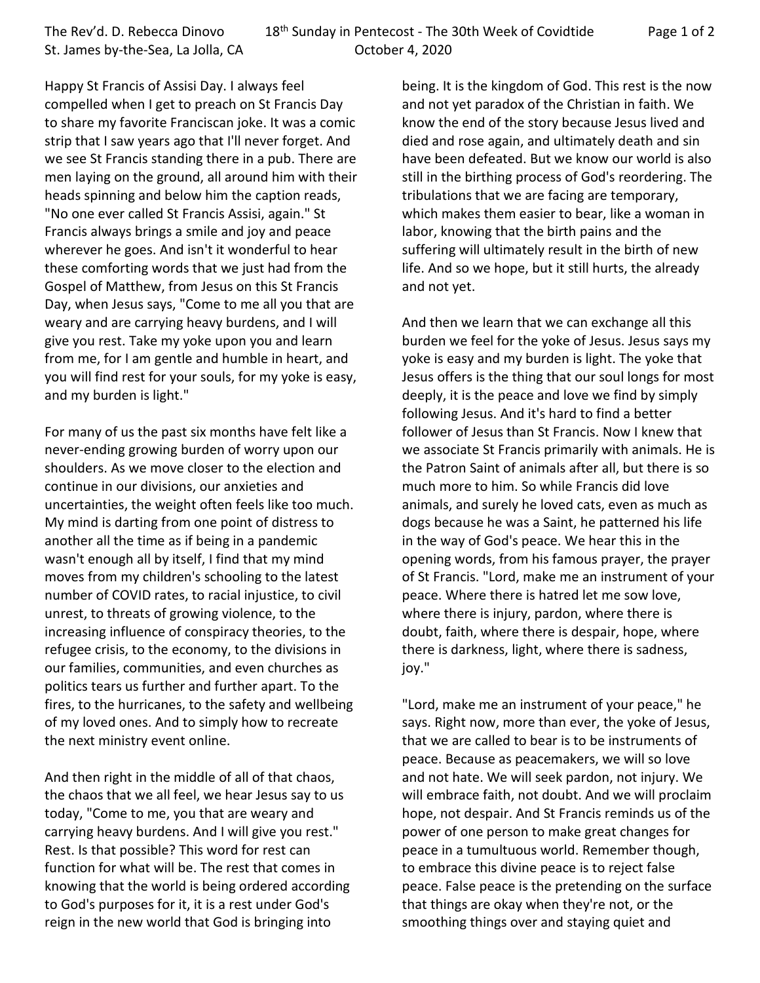Happy St Francis of Assisi Day. I always feel compelled when I get to preach on St Francis Day to share my favorite Franciscan joke. It was a comic strip that I saw years ago that I'll never forget. And we see St Francis standing there in a pub. There are men laying on the ground, all around him with their heads spinning and below him the caption reads, "No one ever called St Francis Assisi, again." St Francis always brings a smile and joy and peace wherever he goes. And isn't it wonderful to hear these comforting words that we just had from the Gospel of Matthew, from Jesus on this St Francis Day, when Jesus says, "Come to me all you that are weary and are carrying heavy burdens, and I will give you rest. Take my yoke upon you and learn from me, for I am gentle and humble in heart, and you will find rest for your souls, for my yoke is easy, and my burden is light."

For many of us the past six months have felt like a never-ending growing burden of worry upon our shoulders. As we move closer to the election and continue in our divisions, our anxieties and uncertainties, the weight often feels like too much. My mind is darting from one point of distress to another all the time as if being in a pandemic wasn't enough all by itself, I find that my mind moves from my children's schooling to the latest number of COVID rates, to racial injustice, to civil unrest, to threats of growing violence, to the increasing influence of conspiracy theories, to the refugee crisis, to the economy, to the divisions in our families, communities, and even churches as politics tears us further and further apart. To the fires, to the hurricanes, to the safety and wellbeing of my loved ones. And to simply how to recreate the next ministry event online.

And then right in the middle of all of that chaos, the chaos that we all feel, we hear Jesus say to us today, "Come to me, you that are weary and carrying heavy burdens. And I will give you rest." Rest. Is that possible? This word for rest can function for what will be. The rest that comes in knowing that the world is being ordered according to God's purposes for it, it is a rest under God's reign in the new world that God is bringing into

being. It is the kingdom of God. This rest is the now and not yet paradox of the Christian in faith. We know the end of the story because Jesus lived and died and rose again, and ultimately death and sin have been defeated. But we know our world is also still in the birthing process of God's reordering. The tribulations that we are facing are temporary, which makes them easier to bear, like a woman in labor, knowing that the birth pains and the suffering will ultimately result in the birth of new life. And so we hope, but it still hurts, the already and not yet.

And then we learn that we can exchange all this burden we feel for the yoke of Jesus. Jesus says my yoke is easy and my burden is light. The yoke that Jesus offers is the thing that our soul longs for most deeply, it is the peace and love we find by simply following Jesus. And it's hard to find a better follower of Jesus than St Francis. Now I knew that we associate St Francis primarily with animals. He is the Patron Saint of animals after all, but there is so much more to him. So while Francis did love animals, and surely he loved cats, even as much as dogs because he was a Saint, he patterned his life in the way of God's peace. We hear this in the opening words, from his famous prayer, the prayer of St Francis. "Lord, make me an instrument of your peace. Where there is hatred let me sow love, where there is injury, pardon, where there is doubt, faith, where there is despair, hope, where there is darkness, light, where there is sadness, joy."

"Lord, make me an instrument of your peace," he says. Right now, more than ever, the yoke of Jesus, that we are called to bear is to be instruments of peace. Because as peacemakers, we will so love and not hate. We will seek pardon, not injury. We will embrace faith, not doubt. And we will proclaim hope, not despair. And St Francis reminds us of the power of one person to make great changes for peace in a tumultuous world. Remember though, to embrace this divine peace is to reject false peace. False peace is the pretending on the surface that things are okay when they're not, or the smoothing things over and staying quiet and